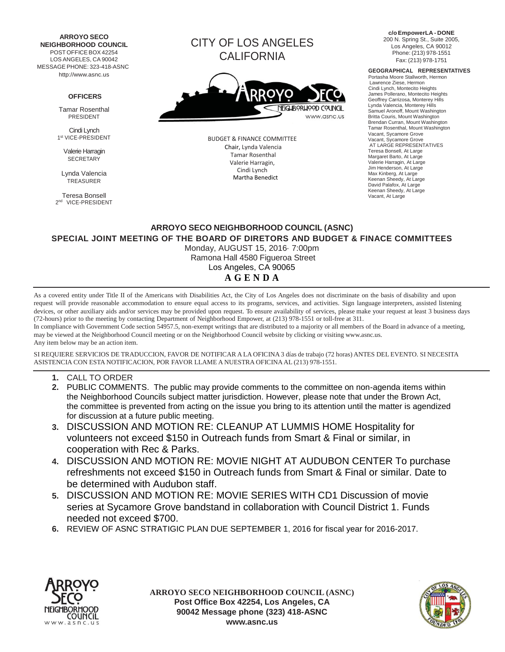**ARROYO SECO NEIGHBORHOOD COUNCIL** POST OFFICE BOX 42254 LOS ANGELES, CA 90042 MESSAGE PHONE: 323-418-ASNC [http://www.asnc.us](http://www.asnc.us/)

## **OFFICERS**

Tamar Rosenthal PRESIDENT

Cindi Lynch 1 st VICE-PRESIDENT

> Valerie Harragin **SECRETARY**

Lynda Valencia TREASURER

Teresa Bonsell 2 nd VICE-PRESIDENT CITY OF LOS ANGELES CALIFORNIA



BUDGET & FINANCE COMMITTEE Chair, Lynda Valencia Tamar Rosenthal Valerie Harragin, Cindi Lynch Martha Benedict

**c/oEmpowerLA - DONE** 200 N. Spring St., Suite 2005, Los Angeles, CA 90012 Phone: (213) 978-1551 Fax: (213) 978-1751

## **GEOGRAPHICAL REPRESENTATIVES**

Portasha Moore Stallworth, Hermon Lawrence Ziese, Hermon Cindi Lynch, Montecito Heights James Pollerano, Montecito Heights Geoffrey Carrizosa, Monterey Hills Lynda Valencia, Monterey Hills Samuel Aronoff, Mount Washington Britta Couris, Mount Washington Brendan Curran, Mount Washington Tamar Rosenthal, Mount Washington Vacant, Sycamore Grove Vacant, Sycamore Grove AT LARGE REPRESENTATIVES Teresa Bonsell, At Large Margaret Barto, At Large Valerie Harragin, At Large Jim Henderson, At Large Max Kinberg, At Large Keenan Sheedy, At Large David Palafox, At Large Keenan Sheedy, At Large Vacant, At Large

## **ARROYO SECO NEIGHBORHOOD COUNCIL (ASNC) SPECIAL JOINT MEETING OF THE BOARD OF DIRETORS AND BUDGET & FINACE COMMITTEES** Monday, AUGUST 15, 2016· 7:00pm

Ramona Hall 4580 Figueroa Street Los Angeles, CA 90065

## **A G E N D A**

As a covered entity under Title II of the Americans with Disabilities Act, the City of Los Angeles does not discriminate on the basis of disability and upon request will provide reasonable accommodation to ensure equal access to its programs, services, and activities. Sign language interpreters, assisted listening devices, or other auxiliary aids and/or services may be provided upon request. To ensure availability of services, please make your request at least 3 business days (72-hours) prior to the meeting by contacting Department of Neighborhood Empower, at (213) 978-1551 or toll-free at 311.

In compliance with Government Code section 54957.5, non-exempt writings that are distributed to a majority or all members of the Board in advance of a meeting, may be viewed at the Neighborhood Council meeting or on the Neighborhood [Council website by clicking or visiting www.asnc.us.](http://www.asnc.us/) Any item below may be an action item.

SI REQUIERE SERVICIOS DE TRADUCCION, FAVOR DE NOTIFICAR A LA OFICINA 3 días de trabajo (72 horas) ANTES DEL EVENTO. SI NECESITA ASISTENCIA CON ESTA NOTIFICACION, POR FAVOR LLAME A NUESTRA OFICINA AL (213) 978-1551.

- **1.** CALL TO ORDER
- **2.** PUBLIC COMMENTS. The public may provide comments to the committee on non-agenda items within the Neighborhood Councils subject matter jurisdiction. However, please note that under the Brown Act, the committee is prevented from acting on the issue you bring to its attention until the matter is agendized for discussion at a future public meeting.
- **3.** DISCUSSION AND MOTION RE: CLEANUP AT LUMMIS HOME Hospitality for volunteers not exceed \$150 in Outreach funds from Smart & Final or similar, in cooperation with Rec & Parks.
- **4.** DISCUSSION AND MOTION RE: MOVIE NIGHT AT AUDUBON CENTER To purchase refreshments not exceed \$150 in Outreach funds from Smart & Final or similar. Date to be determined with Audubon staff.
- **5.** DISCUSSION AND MOTION RE: MOVIE SERIES WITH CD1 Discussion of movie series at Sycamore Grove bandstand in collaboration with Council District 1. Funds needed not exceed \$700.
- **6.** REVIEW OF ASNC STRATIGIC PLAN DUE SEPTEMBER 1, 2016 for fiscal year for 2016-2017.